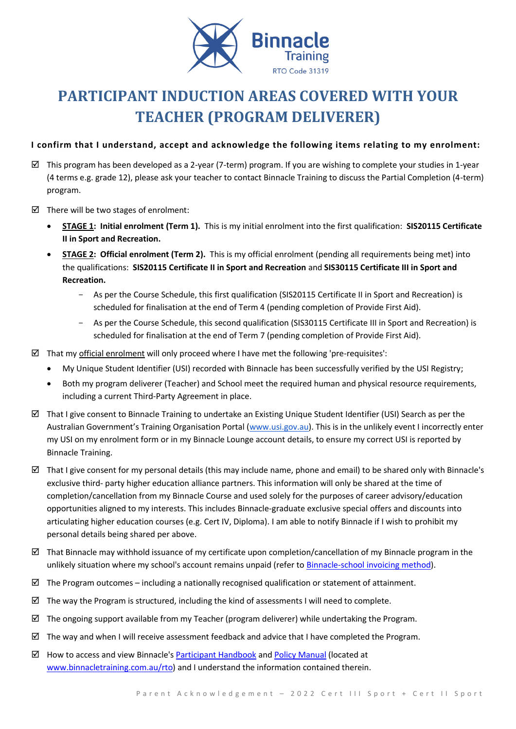

# **PARTICIPANT INDUCTION AREAS COVERED WITH YOUR TEACHER (PROGRAM DELIVERER)**

### **I confirm that I understand, accept and acknowledge the following items relating to my enrolment:**

- $\boxtimes$  This program has been developed as a 2-year (7-term) program. If you are wishing to complete your studies in 1-year (4 terms e.g. grade 12), please ask your teacher to contact Binnacle Training to discuss the Partial Completion (4-term) program.
- $\boxtimes$  There will be two stages of enrolment:
	- **STAGE 1: Initial enrolment (Term 1).** This is my initial enrolment into the first qualification: **SIS20115 Certificate II in Sport and Recreation.**
	- **STAGE 2: Official enrolment (Term 2).** This is my official enrolment (pending all requirements being met) into the qualifications: **SIS20115 Certificate II in Sport and Recreation** and **SIS30115 Certificate III in Sport and Recreation.**
		- As per the Course Schedule, this first qualification (SIS20115 Certificate II in Sport and Recreation) is scheduled for finalisation at the end of Term 4 (pending completion of Provide First Aid).
		- As per the Course Schedule, this second qualification (SIS30115 Certificate III in Sport and Recreation) is scheduled for finalisation at the end of Term 7 (pending completion of Provide First Aid).
- $\boxtimes$  That my official enrolment will only proceed where I have met the following 'pre-requisites':
	- My Unique Student Identifier (USI) recorded with Binnacle has been successfully verified by the USI Registry;
	- Both my program deliverer (Teacher) and School meet the required human and physical resource requirements, including a current Third-Party Agreement in place.
- $\boxtimes$  That I give consent to Binnacle Training to undertake an Existing Unique Student Identifier (USI) Search as per the Australian Government's Training Organisation Portal ([www.usi.gov.au\)](http://www.usi.gov.au/). This is in the unlikely event I incorrectly enter my USI on my enrolment form or in my Binnacle Lounge account details, to ensure my correct USI is reported by Binnacle Training.
- $\boxtimes$  That I give consent for my personal details (this may include name, phone and email) to be shared only with Binnacle's exclusive third- party higher education alliance partners. This information will only be shared at the time of completion/cancellation from my Binnacle Course and used solely for the purposes of career advisory/education opportunities aligned to my interests. This includes Binnacle-graduate exclusive special offers and discounts into articulating higher education courses (e.g. Cert IV, Diploma). I am able to notify Binnacle if I wish to prohibit my personal details being shared per above.
- $\boxtimes$  That Binnacle may withhold issuance of my certificate upon completion/cancellation of my Binnacle program in the unlikely situation where my school's account remains unpaid (refer t[o Binnacle-school invoicing method\)](http://www.binnacletraining.com.au/services-pricing.php).
- $\boxtimes$  The Program outcomes including a nationally recognised qualification or statement of attainment.
- $\boxtimes$  The way the Program is structured, including the kind of assessments I will need to complete.
- $\boxtimes$  The ongoing support available from my Teacher (program deliverer) while undertaking the Program.
- $\boxtimes$  The way and when I will receive assessment feedback and advice that I have completed the Program.
- $\boxtimes$  How to access and view Binnacle's [Participant Handbook](http://www.binnacletraining.com.au/rto.php) an[d Policy Manual](http://www.binnacletraining.com.au/rto.php) (located at [www.binnacletraining.com.au/rto\)](http://www.binnacletraining.com.au/rto) and I understand the information contained therein.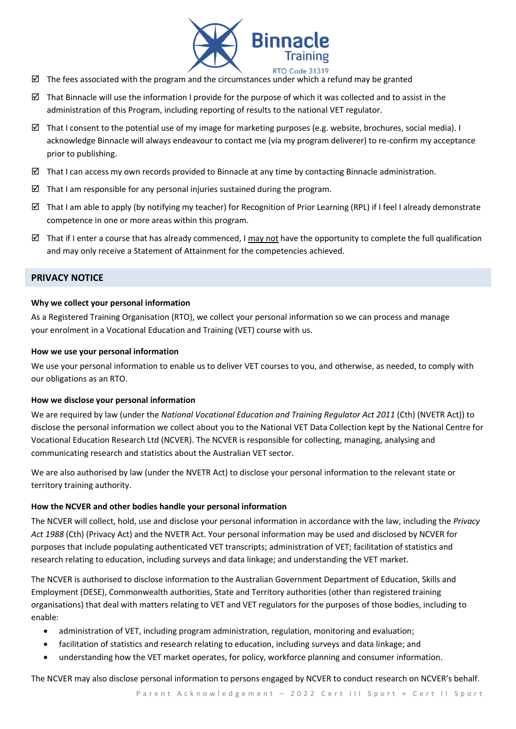

- $\boxtimes$  The fees associated with the program and the circumstances under which a refund may be granted
- That Binnacle will use the information I provide for the purpose of which it was collected and to assist in the administration of this Program, including reporting of results to the national VET regulator.
- $\boxtimes$  That I consent to the potential use of my image for marketing purposes (e.g. website, brochures, social media). I acknowledge Binnacle will always endeavour to contact me (via my program deliverer) to re-confirm my acceptance prior to publishing.
- $\boxtimes$  That I can access my own records provided to Binnacle at any time by contacting Binnacle administration.
- That I am responsible for any personal injuries sustained during the program.
- $\boxtimes$  That I am able to apply (by notifying my teacher) for Recognition of Prior Learning (RPL) if I feel I already demonstrate competence in one or more areas within this program.
- That if I enter a course that has already commenced, I may not have the opportunity to complete the full qualification and may only receive a Statement of Attainment for the competencies achieved.

#### **PRIVACY NOTICE**

#### **Why we collect your personal information**

As a Registered Training Organisation (RTO), we collect your personal information so we can process and manage your enrolment in a Vocational Education and Training (VET) course with us.

#### **How we use your personal information**

We use your personal information to enable us to deliver VET courses to you, and otherwise, as needed, to comply with our obligations as an RTO.

#### **How we disclose your personal information**

We are required by law (under the *National Vocational Education and Training Regulator Act 2011* (Cth) (NVETR Act)) to disclose the personal information we collect about you to the National VET Data Collection kept by the National Centre for Vocational Education Research Ltd (NCVER). The NCVER is responsible for collecting, managing, analysing and communicating research and statistics about the Australian VET sector.

We are also authorised by law (under the NVETR Act) to disclose your personal information to the relevant state or territory training authority.

#### **How the NCVER and other bodies handle your personal information**

The NCVER will collect, hold, use and disclose your personal information in accordance with the law, including the *Privacy Act 1988* (Cth) (Privacy Act) and the NVETR Act. Your personal information may be used and disclosed by NCVER for purposes that include populating authenticated VET transcripts; administration of VET; facilitation of statistics and research relating to education, including surveys and data linkage; and understanding the VET market.

The NCVER is authorised to disclose information to the Australian Government Department of Education, Skills and Employment (DESE), Commonwealth authorities, State and Territory authorities (other than registered training organisations) that deal with matters relating to VET and VET regulators for the purposes of those bodies, including to enable:

- administration of VET, including program administration, regulation, monitoring and evaluation;
- facilitation of statistics and research relating to education, including surveys and data linkage; and
- understanding how the VET market operates, for policy, workforce planning and consumer information.

The NCVER may also disclose personal information to persons engaged by NCVER to conduct research on NCVER's behalf.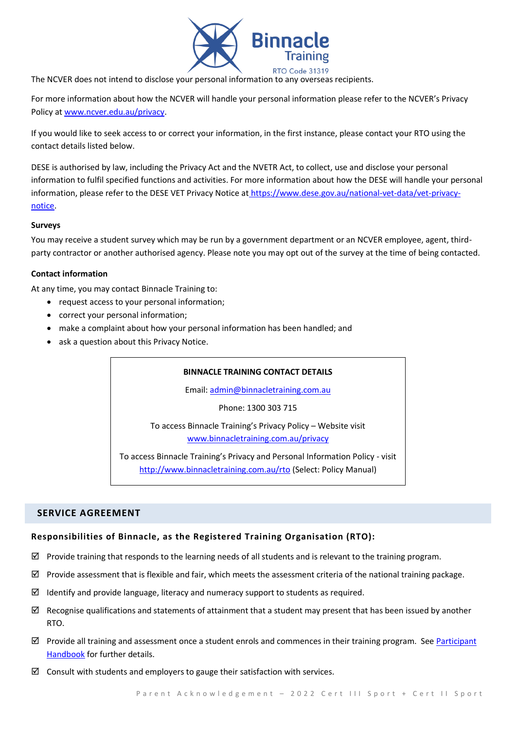

The NCVER does not intend to disclose your personal information to any overseas recipients.

For more information about how the NCVER will handle your personal information please refer to the NCVER's Privacy Policy at [www.ncver.edu.au/privacy.](http://www.ncver.edu.au/privacy)

If you would like to seek access to or correct your information, in the first instance, please contact your RTO using the contact details listed below.

DESE is authorised by law, including the Privacy Act and the NVETR Act, to collect, use and disclose your personal information to fulfil specified functions and activities. For more information about how the DESE will handle your personal information, please refer to the DESE VET Privacy Notice at [https://www.dese.gov.au/national-vet-data/vet-privacy](https://www.dese.gov.au/national-vet-data/vet-privacy-notice)[notice.](https://www.dese.gov.au/national-vet-data/vet-privacy-notice)

#### **Surveys**

You may receive a student survey which may be run by a government department or an NCVER employee, agent, thirdparty contractor or another authorised agency. Please note you may opt out of the survey at the time of being contacted.

#### **Contact information**

At any time, you may contact Binnacle Training to:

- request access to your personal information;
- correct your personal information;
- make a complaint about how your personal information has been handled; and
- ask a question about this Privacy Notice.

# **BINNACLE TRAINING CONTACT DETAILS**

Email: [admin@binnacletraining.com.au](mailto:admin@binnacletraining.com.au)

Phone: 1300 303 715

To access Binnacle Training's Privacy Policy – Website visit [www.binnacletraining.com.au/privacy](http://www.binnacletraining.com.au/privacy)

To access Binnacle Training's Privacy and Personal Information Policy - visit <http://www.binnacletraining.com.au/rto> (Select: Policy Manual)

#### **SERVICE AGREEMENT**

#### **Responsibilities of Binnacle, as the Registered Training Organisation (RTO):**

- $\boxtimes$  Provide training that responds to the learning needs of all students and is relevant to the training program.
- $\boxtimes$  Provide assessment that is flexible and fair, which meets the assessment criteria of the national training package.
- $\boxtimes$  Identify and provide language, literacy and numeracy support to students as required.
- $\boxtimes$  Recognise qualifications and statements of attainment that a student may present that has been issued by another RTO.
- $\boxtimes$  Provide all training and assessment once a student enrols and commences in their training program. See Participant [Handbook](http://www.binnacletraining.com.au/rto.php) for further details.
- $\boxtimes$  Consult with students and employers to gauge their satisfaction with services.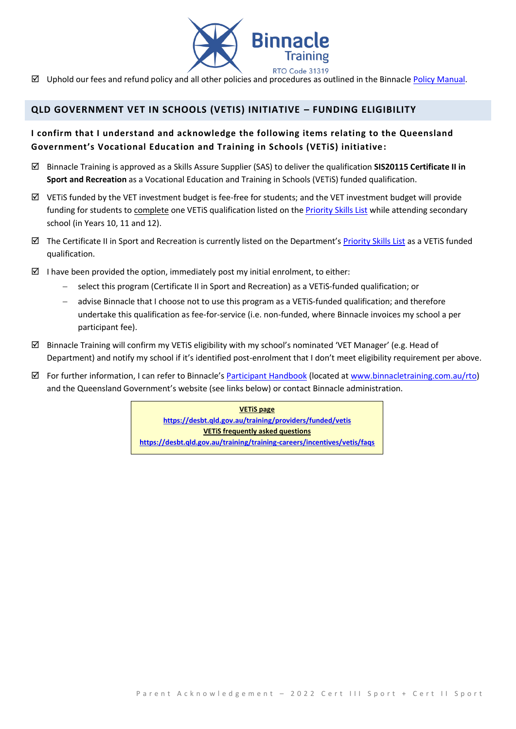

 $\boxtimes$  Uphold our fees and refund policy and all other policies and procedures as outlined in the Binnacle [Policy Manual.](http://www.binnacletraining.com.au/rto.php)

## **QLD GOVERNMENT VET IN SCHOOLS (VETIS) INITIATIVE – FUNDING ELIGIBILITY**

## **I confirm that I understand and acknowledge the following items relating to the Queensland Government's Vocational Education and Training in Schools (VETiS) initiative:**

- Binnacle Training is approved as a Skills Assure Supplier (SAS) to deliver the qualification **SIS20115 Certificate II in Sport and Recreation** as a Vocational Education and Training in Schools (VETiS) funded qualification.
- $\boxtimes$  VETiS funded by the VET investment budget is fee-free for students; and the VET investment budget will provide funding for students to complete one VETiS qualification listed on th[e Priority Skills List](https://desbt.qld.gov.au/training/docs-data/strategies/vetinvest/subsidieslist) while attending secondary school (in Years 10, 11 and 12).
- $\boxtimes$  The Certificate II in Sport and Recreation is currently listed on the Department's [Priority Skills List](https://desbt.qld.gov.au/training/docs-data/strategies/vetinvest/subsidieslist) as a VETiS funded qualification.
- I have been provided the option, immediately post my initial enrolment, to either:
	- − select this program (Certificate II in Sport and Recreation) as a VETiS-funded qualification; or
	- − advise Binnacle that I choose not to use this program as a VETiS-funded qualification; and therefore undertake this qualification as fee-for-service (i.e. non-funded, where Binnacle invoices my school a per participant fee).
- $\boxtimes$  Binnacle Training will confirm my VETiS eligibility with my school's nominated 'VET Manager' (e.g. Head of Department) and notify my school if it's identified post-enrolment that I don't meet eligibility requirement per above.
- For further information, I can refer to Binnacle's [Participant Handbook](http://www.binnacletraining.com.au/rto.php) (located a[t www.binnacletraining.com.au/rto\)](http://www.binnacletraining.com.au/rto) and the Queensland Government's website (see links below) or contact Binnacle administration.

**VETiS page <https://desbt.qld.gov.au/training/providers/funded/vetis> VETiS frequently asked questions https://desbt.qld.gov.au/training/training-careers/incentives/vetis/faqs**